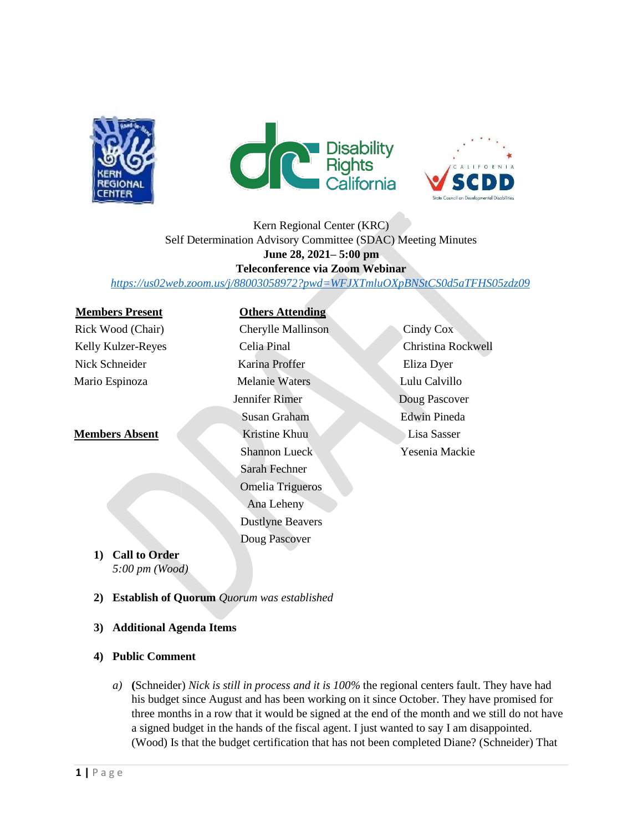





# Kern Regional Center (KRC) Self Determination Advisory Committee (SDAC) Meeting Minutes **June 28, 2021– 5:00 pm Teleconference via Zoom Webinar**

*<https://us02web.zoom.us/j/88003058972?pwd=WFJXTmluOXpBNStCS0d5aTFHS05zdz09>*

### **Members Present Others Attending**

# Rick Wood (Chair) Cherylle Mallinson Cindy Cox Kelly Kulzer-Reyes Celia Pinal Christina Rockwell Nick Schneider Karina Proffer Eliza Dyer Mario Espinoza Melanie Waters Lulu Calvillo Jennifer Rimer Doug Pascover Susan Graham Edwin Pineda **Members Absent Kristine Khuu Lisa Sasser** Shannon Lueck Yesenia Mackie Sarah Fechner Omelia Trigueros

Ana Leheny Dustlyne Beavers Doug Pascover

- **1) Call to Order** *5:00 pm (Wood)*
- **2) Establish of Quorum** *Quorum was established*
- **3) Additional Agenda Items**
- **4) Public Comment**
	- *a)* **(**Schneider) *Nick is still in process and it is 100%* the regional centers fault. They have had his budget since August and has been working on it since October. They have promised for three months in a row that it would be signed at the end of the month and we still do not have a signed budget in the hands of the fiscal agent. I just wanted to say I am disappointed. (Wood) Is that the budget certification that has not been completed Diane? (Schneider) That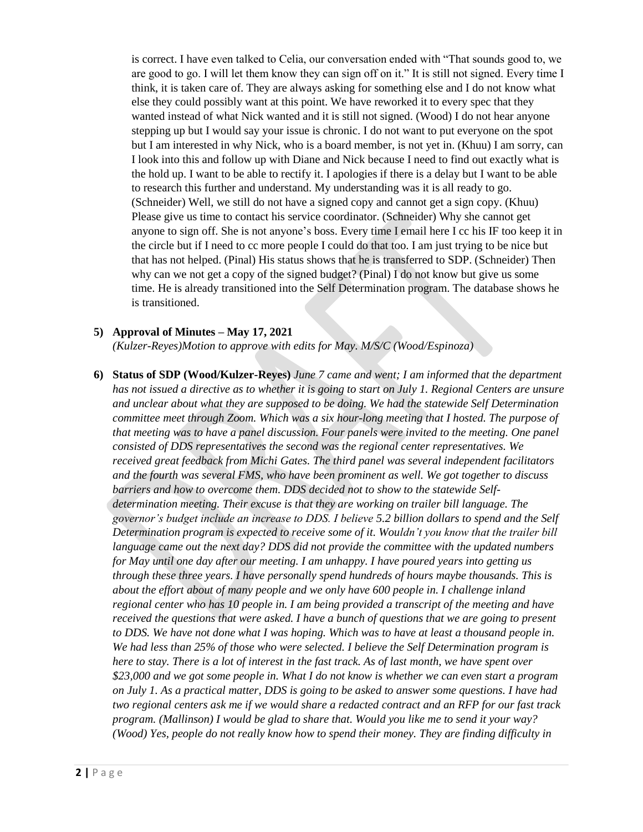is correct. I have even talked to Celia, our conversation ended with "That sounds good to, we are good to go. I will let them know they can sign off on it." It is still not signed. Every time I think, it is taken care of. They are always asking for something else and I do not know what else they could possibly want at this point. We have reworked it to every spec that they wanted instead of what Nick wanted and it is still not signed. (Wood) I do not hear anyone stepping up but I would say your issue is chronic. I do not want to put everyone on the spot but I am interested in why Nick, who is a board member, is not yet in. (Khuu) I am sorry, can I look into this and follow up with Diane and Nick because I need to find out exactly what is the hold up. I want to be able to rectify it. I apologies if there is a delay but I want to be able to research this further and understand. My understanding was it is all ready to go. (Schneider) Well, we still do not have a signed copy and cannot get a sign copy. (Khuu) Please give us time to contact his service coordinator. (Schneider) Why she cannot get anyone to sign off. She is not anyone's boss. Every time I email here I cc his IF too keep it in the circle but if I need to cc more people I could do that too. I am just trying to be nice but that has not helped. (Pinal) His status shows that he is transferred to SDP. (Schneider) Then why can we not get a copy of the signed budget? (Pinal) I do not know but give us some time. He is already transitioned into the Self Determination program. The database shows he is transitioned.

#### **5) Approval of Minutes – May 17, 2021**

*(Kulzer-Reyes)Motion to approve with edits for May. M/S/C (Wood/Espinoza)*

**6) Status of SDP (Wood/Kulzer-Reyes)** *June 7 came and went; I am informed that the department has not issued a directive as to whether it is going to start on July 1. Regional Centers are unsure and unclear about what they are supposed to be doing. We had the statewide Self Determination committee meet through Zoom. Which was a six hour-long meeting that I hosted. The purpose of that meeting was to have a panel discussion. Four panels were invited to the meeting. One panel consisted of DDS representatives the second was the regional center representatives. We received great feedback from Michi Gates. The third panel was several independent facilitators and the fourth was several FMS, who have been prominent as well. We got together to discuss barriers and how to overcome them. DDS decided not to show to the statewide Selfdetermination meeting. Their excuse is that they are working on trailer bill language. The governor's budget include an increase to DDS. I believe 5.2 billion dollars to spend and the Self Determination program is expected to receive some of it. Wouldn't you know that the trailer bill language came out the next day? DDS did not provide the committee with the updated numbers for May until one day after our meeting. I am unhappy. I have poured years into getting us through these three years. I have personally spend hundreds of hours maybe thousands. This is about the effort about of many people and we only have 600 people in. I challenge inland regional center who has 10 people in. I am being provided a transcript of the meeting and have received the questions that were asked. I have a bunch of questions that we are going to present to DDS. We have not done what I was hoping. Which was to have at least a thousand people in. We had less than 25% of those who were selected. I believe the Self Determination program is here to stay. There is a lot of interest in the fast track. As of last month, we have spent over \$23,000 and we got some people in. What I do not know is whether we can even start a program on July 1. As a practical matter, DDS is going to be asked to answer some questions. I have had two regional centers ask me if we would share a redacted contract and an RFP for our fast track program. (Mallinson) I would be glad to share that. Would you like me to send it your way? (Wood) Yes, people do not really know how to spend their money. They are finding difficulty in*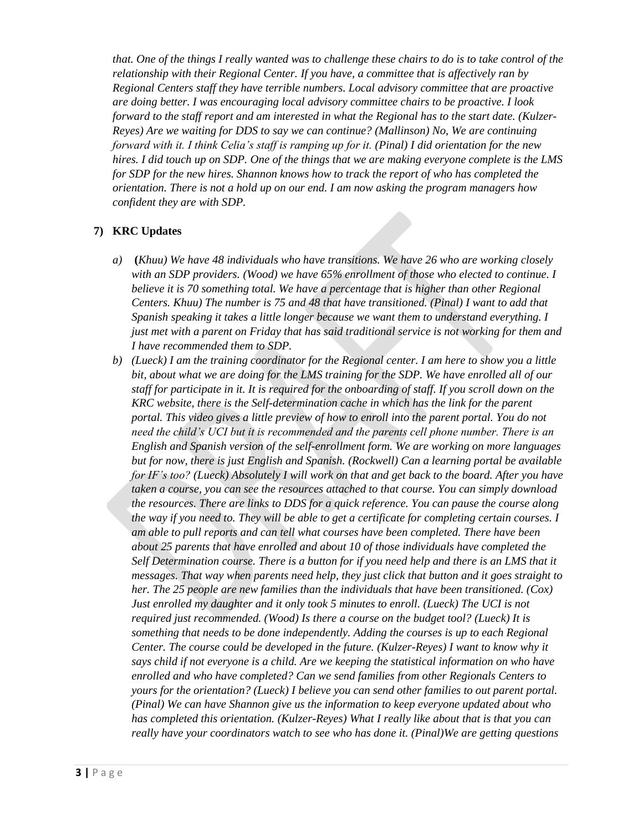*that. One of the things I really wanted was to challenge these chairs to do is to take control of the relationship with their Regional Center. If you have, a committee that is affectively ran by Regional Centers staff they have terrible numbers. Local advisory committee that are proactive are doing better. I was encouraging local advisory committee chairs to be proactive. I look forward to the staff report and am interested in what the Regional has to the start date. (Kulzer-Reyes) Are we waiting for DDS to say we can continue? (Mallinson) No, We are continuing forward with it. I think Celia's staff is ramping up for it. (Pinal) I did orientation for the new hires. I did touch up on SDP. One of the things that we are making everyone complete is the LMS for SDP for the new hires. Shannon knows how to track the report of who has completed the orientation. There is not a hold up on our end. I am now asking the program managers how confident they are with SDP.*

# **7) KRC Updates**

- *a)* **(***Khuu) We have 48 individuals who have transitions. We have 26 who are working closely with an SDP providers. (Wood) we have 65% enrollment of those who elected to continue. I believe it is 70 something total. We have a percentage that is higher than other Regional Centers. Khuu) The number is 75 and 48 that have transitioned. (Pinal) I want to add that Spanish speaking it takes a little longer because we want them to understand everything. I just met with a parent on Friday that has said traditional service is not working for them and I have recommended them to SDP.*
- *b) (Lueck) I am the training coordinator for the Regional center. I am here to show you a little bit, about what we are doing for the LMS training for the SDP. We have enrolled all of our staff for participate in it. It is required for the onboarding of staff. If you scroll down on the KRC website, there is the Self-determination cache in which has the link for the parent portal. This video gives a little preview of how to enroll into the parent portal. You do not need the child's UCI but it is recommended and the parents cell phone number. There is an English and Spanish version of the self-enrollment form. We are working on more languages but for now, there is just English and Spanish. (Rockwell) Can a learning portal be available for IF's too? (Lueck) Absolutely I will work on that and get back to the board. After you have taken a course, you can see the resources attached to that course. You can simply download the resources. There are links to DDS for a quick reference. You can pause the course along the way if you need to. They will be able to get a certificate for completing certain courses. I am able to pull reports and can tell what courses have been completed. There have been about 25 parents that have enrolled and about 10 of those individuals have completed the Self Determination course. There is a button for if you need help and there is an LMS that it messages. That way when parents need help, they just click that button and it goes straight to her. The 25 people are new families than the individuals that have been transitioned. (Cox) Just enrolled my daughter and it only took 5 minutes to enroll. (Lueck) The UCI is not required just recommended. (Wood) Is there a course on the budget tool? (Lueck) It is something that needs to be done independently. Adding the courses is up to each Regional Center. The course could be developed in the future. (Kulzer-Reyes) I want to know why it says child if not everyone is a child. Are we keeping the statistical information on who have enrolled and who have completed? Can we send families from other Regionals Centers to yours for the orientation? (Lueck) I believe you can send other families to out parent portal. (Pinal) We can have Shannon give us the information to keep everyone updated about who has completed this orientation. (Kulzer-Reyes) What I really like about that is that you can really have your coordinators watch to see who has done it. (Pinal)We are getting questions*